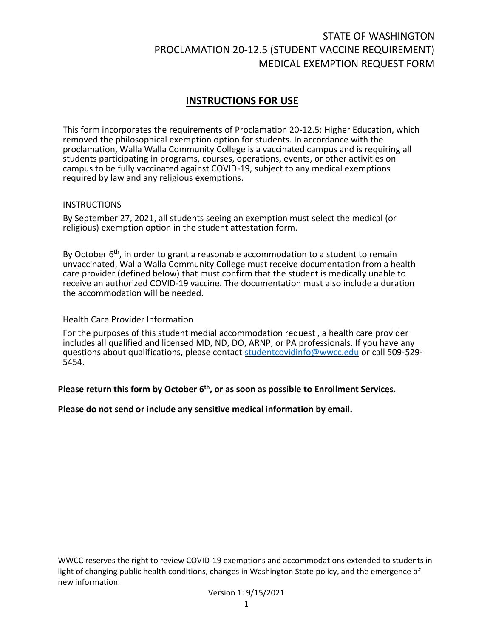# STATE OF WASHINGTON PROCLAMATION 20-12.5 (STUDENT VACCINE REQUIREMENT) MEDICAL EXEMPTION REQUEST FORM

## **INSTRUCTIONS FOR USE**

This form incorporates the requirements of Proclamation 20-12.5: Higher Education, which removed the philosophical exemption option for students. In accordance with the proclamation, Walla Walla Community College is a vaccinated campus and is requiring all students participating in programs, courses, operations, events, or other activities on campus to be fully vaccinated against COVID-19, subject to any medical exemptions required by law and any religious exemptions.

#### **INSTRUCTIONS**

By September 27, 2021, all students seeing an exemption must select the medical (or religious) exemption option in the student attestation form.

By October 6<sup>th</sup>, in order to grant a reasonable accommodation to a student to remain unvaccinated, Walla Walla Community College must receive documentation from a health care provider (defined below) that must confirm that the student is medically unable to receive an authorized COVID-19 vaccine. The documentation must also include a duration the accommodation will be needed.

#### Health Care Provider Information

For the purposes of this student medial accommodation request , a health care provider includes all qualified and licensed MD, ND, DO, ARNP, or PA professionals. If you have any questions about qualifications, please contact [studentcovidinfo@wwcc.edu](mailto:studentcovidinfo@wwcc.edu) or call 509-529- 5454.

### **Please return this form by October 6 th , or as soon as possible to Enrollment Services.**

**Please do not send or include any sensitive medical information by email.**

WWCC reserves the right to review COVID-19 exemptions and accommodations extended to students in light of changing public health conditions, changes in Washington State policy, and the emergence of new information.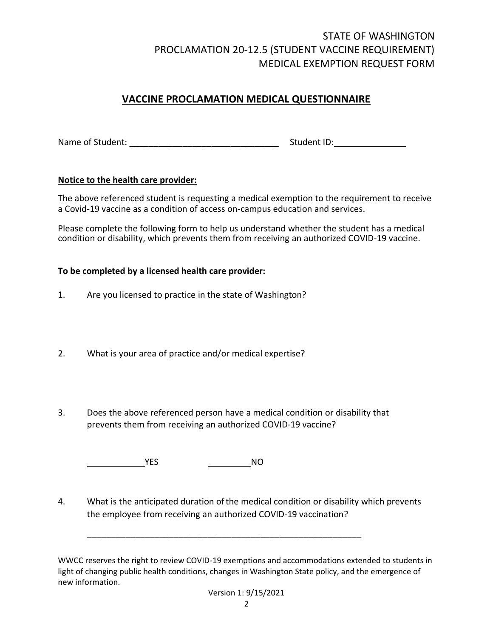# STATE OF WASHINGTON PROCLAMATION 20-12.5 (STUDENT VACCINE REQUIREMENT) MEDICAL EXEMPTION REQUEST FORM

## **VACCINE PROCLAMATION MEDICAL QUESTIONNAIRE**

Name of Student: \_\_\_\_\_\_\_\_\_\_\_\_\_\_\_\_\_\_\_\_\_\_\_\_\_\_\_\_\_\_\_ Student ID:

### **Notice to the health care provider:**

The above referenced student is requesting a medical exemption to the requirement to receive a Covid-19 vaccine as a condition of access on-campus education and services.

Please complete the following form to help us understand whether the student has a medical condition or disability, which prevents them from receiving an authorized COVID-19 vaccine.

### **To be completed by a licensed health care provider:**

- 1. Are you licensed to practice in the state of Washington?
- 2. What is your area of practice and/or medical expertise?
- 3. Does the above referenced person have a medical condition or disability that prevents them from receiving an authorized COVID-19 vaccine?

**THE SECOND SECOND VES** NO

4. What is the anticipated duration ofthe medical condition or disability which prevents the employee from receiving an authorized COVID-19 vaccination?

\_\_\_\_\_\_\_\_\_\_\_\_\_\_\_\_\_\_\_\_\_\_\_\_\_\_\_\_\_\_\_\_\_\_\_\_\_\_\_\_\_\_\_\_\_\_\_\_\_\_\_\_\_\_\_\_\_

WWCC reserves the right to review COVID-19 exemptions and accommodations extended to students in light of changing public health conditions, changes in Washington State policy, and the emergence of new information.